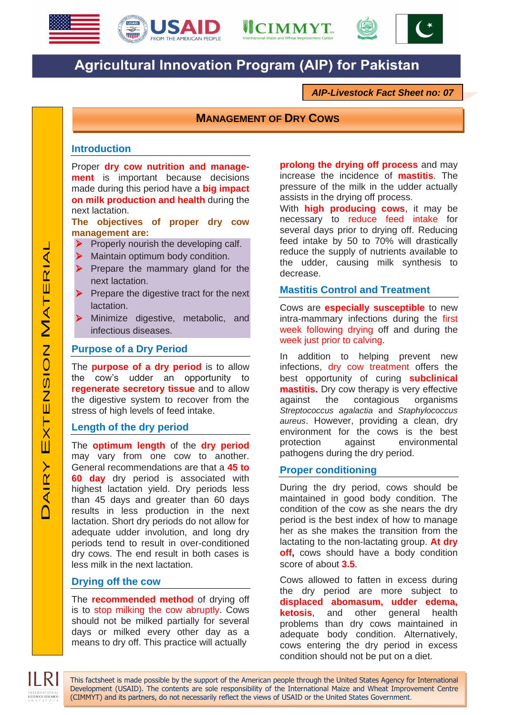





# **Agricultural Innovation Program (AIP) for Pakistan**

*AIP-Livestock Fact Sheet no: 07*

# **MANAGEMENT OF DRY COWS**

### **Introduction**

Proper **dry cow nutrition and management** is important because decisions made during this period have a **big impact on milk production and health** during the next lactation.

**The objectives of proper dry cow management are:**

- $\triangleright$  Properly nourish the developing calf.
- **Maintain optimum body condition.**
- $\triangleright$  Prepare the mammary gland for the next lactation.
- $\triangleright$  Prepare the digestive tract for the next lactation.
- > Minimize digestive, metabolic, and infectious diseases.

#### **Purpose of a Dry Period**

The **purpose of a dry period** is to allow the cow's udder an opportunity to **regenerate secretory tissue** and to allow the digestive system to recover from the stress of high levels of feed intake.

#### **Length of the dry period**

The **optimum length** of the **dry period** may vary from one cow to another. General recommendations are that a **45 to 60 day** dry period is associated with highest lactation yield. Dry periods less than 45 days and greater than 60 days results in less production in the next lactation. Short dry periods do not allow for adequate udder involution, and long dry periods tend to result in over-conditioned dry cows. The end result in both cases is less milk in the next lactation.

# **Drying off the cow**

The **recommended method** of drying off is to stop milking the cow abruptly. Cows should not be milked partially for several days or milked every other day as a means to dry off. This practice will actually

**prolong the drying off process** and may increase the incidence of **mastitis**. The pressure of the milk in the udder actually assists in the drying off process.

With **high producing cows**, it may be necessary to reduce feed intake for several days prior to drying off. Reducing feed intake by 50 to 70% will drastically reduce the supply of nutrients available to the udder, causing milk synthesis to decrease.

#### **Mastitis Control and Treatment**

Cows are **especially susceptible** to new intra-mammary infections during the first week following drying off and during the week just prior to calving.

In addition to helping prevent new infections, dry cow treatment offers the best opportunity of curing **subclinical mastitis.** Dry cow therapy is very effective against the contagious organisms *Streptococcus agalactia* and *Staphylococcus aureus*. However, providing a clean, dry environment for the cows is the best protection against environmental pathogens during the dry period.

#### **Proper conditioning**

This factsheet is made possible by the support of the American people through the United States Agency for International Development (USAID). The contents are sole responsibility of the International Maize and Wheat Improvement Centre

(CIMMYT) and its partners, do not necessarily reflect the views of USAID or the United States Government.

During the dry period, cows should be maintained in good body condition. The condition of the cow as she nears the dry period is the best index of how to manage her as she makes the transition from the lactating to the non-lactating group. **At dry off,** cows should have a body condition score of about **3.5**.

Cows allowed to fatten in excess during the dry period are more subject to **displaced abomasum, udder edema, ketosis**, and other general health problems than dry cows maintained in adequate body condition. Alternatively, cows entering the dry period in excess condition should not be put on a diet.

INTERNATIONAL<br><mark>LIVESTOCK RESEARC</mark>E